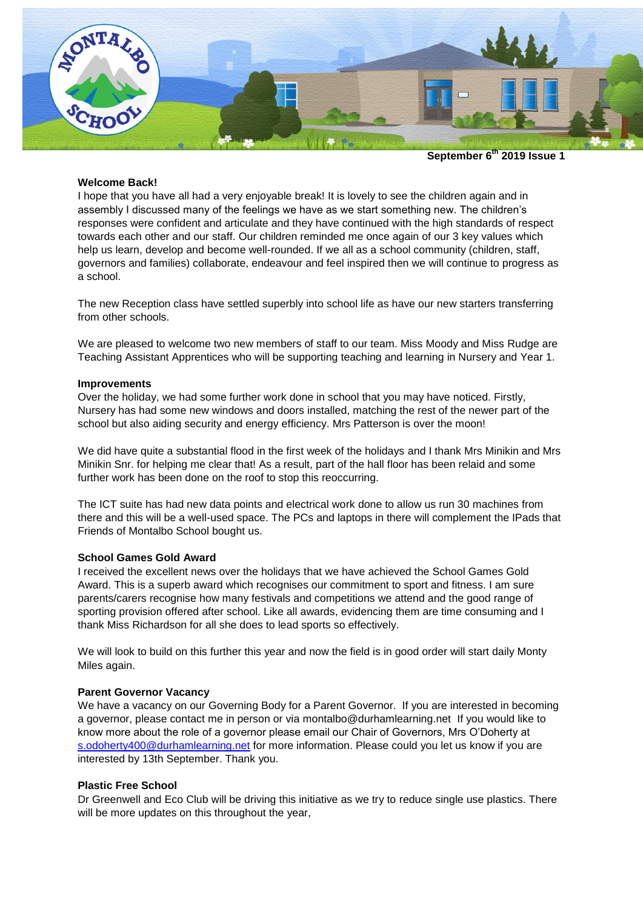

**September 6th 2019 Issue 1**

### **Welcome Back!**

I hope that you have all had a very enjoyable break! It is lovely to see the children again and in assembly I discussed many of the feelings we have as we start something new. The children's responses were confident and articulate and they have continued with the high standards of respect towards each other and our staff. Our children reminded me once again of our 3 key values which help us learn, develop and become well-rounded. If we all as a school community (children, staff, governors and families) collaborate, endeavour and feel inspired then we will continue to progress as a school.

The new Reception class have settled superbly into school life as have our new starters transferring from other schools.

We are pleased to welcome two new members of staff to our team. Miss Moody and Miss Rudge are Teaching Assistant Apprentices who will be supporting teaching and learning in Nursery and Year 1.

#### **Improvements**

Over the holiday, we had some further work done in school that you may have noticed. Firstly, Nursery has had some new windows and doors installed, matching the rest of the newer part of the school but also aiding security and energy efficiency. Mrs Patterson is over the moon!

We did have quite a substantial flood in the first week of the holidays and I thank Mrs Minikin and Mrs Minikin Snr. for helping me clear that! As a result, part of the hall floor has been relaid and some further work has been done on the roof to stop this reoccurring.

The ICT suite has had new data points and electrical work done to allow us run 30 machines from there and this will be a well-used space. The PCs and laptops in there will complement the IPads that Friends of Montalbo School bought us.

### **School Games Gold Award**

I received the excellent news over the holidays that we have achieved the School Games Gold Award. This is a superb award which recognises our commitment to sport and fitness. I am sure parents/carers recognise how many festivals and competitions we attend and the good range of sporting provision offered after school. Like all awards, evidencing them are time consuming and I thank Miss Richardson for all she does to lead sports so effectively.

We will look to build on this further this year and now the field is in good order will start daily Monty Miles again.

#### **Parent Governor Vacancy**

We have a vacancy on our Governing Body for a Parent Governor. If you are interested in becoming a governor, please contact me in person or via [montalbo@durhamlearning.net](mailto:montalbo@durhamlearning.net) If you would like to know more about the role of a governor please email our Chair of Governors, Mrs O'Doherty at [s.odoherty400@durhamlearning.net](mailto:s.odoherty400@durhamlearning.net) for more information. Please could you let us know if you are interested by 13th September. Thank you.

### **Plastic Free School**

Dr Greenwell and Eco Club will be driving this initiative as we try to reduce single use plastics. There will be more updates on this throughout the year,